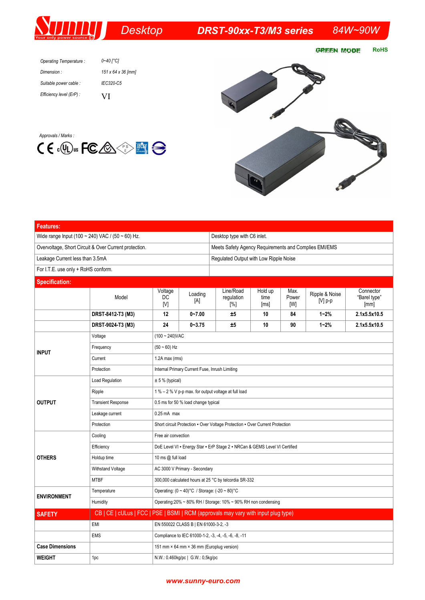## **Desktop**

## *DRST-90xx-T3/M3 series 84W~90W*

**RoHS GREEN MODE** 

| Operating Temperature:   | 0~40 [°C]          |
|--------------------------|--------------------|
| Dimension:               | 151 x 64 x 36 [mm] |
| Suitable power cable :   | IFC320-C5          |
| Efficiency level (ErP) : | VI                 |

*Approvals / Marks :*





| <b>Features:</b>                                      |                                                                                    |                                                                              |                                                       |                                |                         |                      |                           |                                   |  |  |
|-------------------------------------------------------|------------------------------------------------------------------------------------|------------------------------------------------------------------------------|-------------------------------------------------------|--------------------------------|-------------------------|----------------------|---------------------------|-----------------------------------|--|--|
| Wide range Input (100 ~ 240) VAC / (50 ~ 60) Hz.      |                                                                                    |                                                                              | Desktop type with C6 inlet.                           |                                |                         |                      |                           |                                   |  |  |
| Overvoltage, Short Circuit & Over Current protection. |                                                                                    |                                                                              | Meets Safety Agency Requirements and Complies EMI/EMS |                                |                         |                      |                           |                                   |  |  |
| Leakage Current less than 3.5mA                       |                                                                                    |                                                                              | Regulated Output with Low Ripple Noise                |                                |                         |                      |                           |                                   |  |  |
| For I.T.E. use only + RoHS conform.                   |                                                                                    |                                                                              |                                                       |                                |                         |                      |                           |                                   |  |  |
| <b>Specification:</b>                                 |                                                                                    |                                                                              |                                                       |                                |                         |                      |                           |                                   |  |  |
|                                                       | Model                                                                              | Voltage<br>DC<br>[V]                                                         | Loading<br>[A]                                        | Line/Road<br>regulation<br>[%] | Hold up<br>time<br>[ms] | Max.<br>Power<br>[W] | Ripple & Noise<br>[V] p-p | Connector<br>"Barel type"<br>[mm] |  |  |
|                                                       | DRST-8412-T3 (M3)                                                                  | 12                                                                           | $0 - 7.00$                                            | ±5                             | 10                      | 84                   | $1 - 2%$                  | 2.1x5.5x10.5                      |  |  |
|                                                       | DRST-9024-T3 (M3)                                                                  | 24                                                                           | $0 - 3.75$                                            | ±5                             | 10                      | 90                   | $1 - 2%$                  | 2.1x5.5x10.5                      |  |  |
|                                                       | Voltage                                                                            | $(100 - 240)$ VAC                                                            |                                                       |                                |                         |                      |                           |                                   |  |  |
| <b>INPUT</b>                                          | Frequency                                                                          | $(50 - 60)$ Hz                                                               |                                                       |                                |                         |                      |                           |                                   |  |  |
|                                                       | Current                                                                            | $1.2A$ max (rms)                                                             |                                                       |                                |                         |                      |                           |                                   |  |  |
|                                                       | Protection                                                                         | Internal Primary Current Fuse, Inrush Limiting                               |                                                       |                                |                         |                      |                           |                                   |  |  |
| <b>OUTPUT</b>                                         | <b>Load Regulation</b>                                                             | ± 5 % (typical)                                                              |                                                       |                                |                         |                      |                           |                                   |  |  |
|                                                       | Ripple                                                                             | 1 % - 2 % V p-p max. for output voltage at full load                         |                                                       |                                |                         |                      |                           |                                   |  |  |
|                                                       | <b>Transient Response</b>                                                          | 0.5 ms for 50 % load change typical                                          |                                                       |                                |                         |                      |                           |                                   |  |  |
|                                                       | Leakage current                                                                    | $0.25$ mA max                                                                |                                                       |                                |                         |                      |                           |                                   |  |  |
|                                                       | Protection                                                                         | Short circuit Protection - Over Voltage Protection - Over Current Protection |                                                       |                                |                         |                      |                           |                                   |  |  |
| <b>OTHERS</b>                                         | Cooling                                                                            | Free air convection                                                          |                                                       |                                |                         |                      |                           |                                   |  |  |
|                                                       | Efficiency                                                                         | DoE Level VI - Energy Star - ErP Stage 2 - NRCan & GEMS Level VI Certified   |                                                       |                                |                         |                      |                           |                                   |  |  |
|                                                       | Holdup time                                                                        | 10 ms @ full load                                                            |                                                       |                                |                         |                      |                           |                                   |  |  |
|                                                       | Withstand Voltage                                                                  | AC 3000 V Primary - Secondary                                                |                                                       |                                |                         |                      |                           |                                   |  |  |
|                                                       | <b>MTBF</b>                                                                        | 300,000 calculated hours at 25 °C by telcordia SR-332                        |                                                       |                                |                         |                      |                           |                                   |  |  |
| <b>ENVIRONMENT</b>                                    | Temperature                                                                        | Operating: $(0 \sim 40)$ °C / Storage: $(-20 \sim 80)$ °C                    |                                                       |                                |                         |                      |                           |                                   |  |  |
|                                                       | Humidity                                                                           | Operating:20% ~ 80% RH / Storage: 10% ~ 90% RH non condensing                |                                                       |                                |                         |                      |                           |                                   |  |  |
| <b>SAFETY</b>                                         | CB   CE   cULus   FCC   PSE   BSMI   RCM (approvals may vary with input plug type) |                                                                              |                                                       |                                |                         |                      |                           |                                   |  |  |
|                                                       | EMI                                                                                | EN 550022 CLASS B   EN 61000-3-2, -3                                         |                                                       |                                |                         |                      |                           |                                   |  |  |
|                                                       | <b>EMS</b>                                                                         | Compliance to IEC 61000-1-2, -3, -4, -5, -6, -8, -11                         |                                                       |                                |                         |                      |                           |                                   |  |  |
| <b>Case Dimensions</b>                                |                                                                                    | 151 mm × 64 mm × 36 mm (Europlug version)                                    |                                                       |                                |                         |                      |                           |                                   |  |  |
| <b>WEIGHT</b>                                         | 1pc                                                                                | N.W.: 0.460kg/pc   G.W.: 0,5kg/pc                                            |                                                       |                                |                         |                      |                           |                                   |  |  |

## *www.sunny-euro.com*